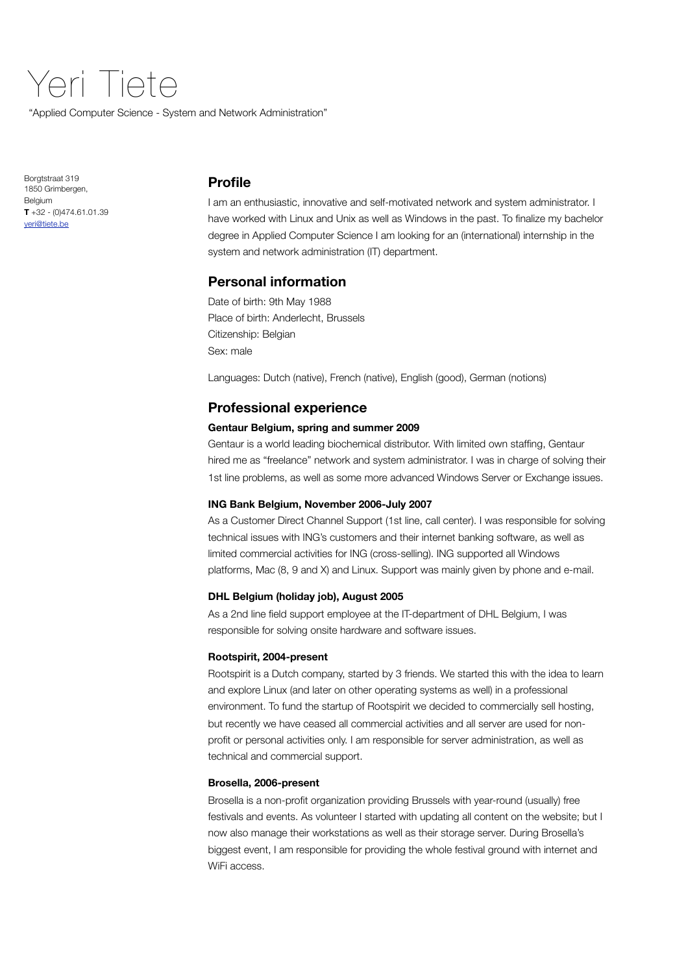# Yeri Tiete

"Applied Computer Science - System and Network Administration"

Borgtstraat 319 1850 Grimbergen, **Belgium T** +32 - (0)474.61.01.39 [yeri@tiete.be](mailto:yeri@tiete.be)

# **Profile**

I am an enthusiastic, innovative and self-motivated network and system administrator. I have worked with Linux and Unix as well as Windows in the past. To finalize my bachelor degree in Applied Computer Science I am looking for an (international) internship in the system and network administration (IT) department.

## **Personal information**

Date of birth: 9th May 1988 Place of birth: Anderlecht, Brussels Citizenship: Belgian Sex: male

Languages: Dutch (native), French (native), English (good), German (notions)

## **Professional experience**

## **Gentaur Belgium, spring and summer 2009**

Gentaur is a world leading biochemical distributor. With limited own staffing, Gentaur hired me as "freelance" network and system administrator. I was in charge of solving their 1st line problems, as well as some more advanced Windows Server or Exchange issues.

## **ING Bank Belgium, November 2006-July 2007**

As a Customer Direct Channel Support (1st line, call center). I was responsible for solving technical issues with ING's customers and their internet banking software, as well as limited commercial activities for ING (cross-selling). ING supported all Windows platforms, Mac (8, 9 and X) and Linux. Support was mainly given by phone and e-mail.

## **DHL Belgium (holiday job), August 2005**

As a 2nd line field support employee at the IT-department of DHL Belgium, I was responsible for solving onsite hardware and software issues.

## **Rootspirit, 2004-present**

Rootspirit is a Dutch company, started by 3 friends. We started this with the idea to learn and explore Linux (and later on other operating systems as well) in a professional environment. To fund the startup of Rootspirit we decided to commercially sell hosting, but recently we have ceased all commercial activities and all server are used for nonprofit or personal activities only. I am responsible for server administration, as well as technical and commercial support.

## **Brosella, 2006-present**

Brosella is a non-profit organization providing Brussels with year-round (usually) free festivals and events. As volunteer I started with updating all content on the website; but I now also manage their workstations as well as their storage server. During Brosella's biggest event, I am responsible for providing the whole festival ground with internet and WiFi access.